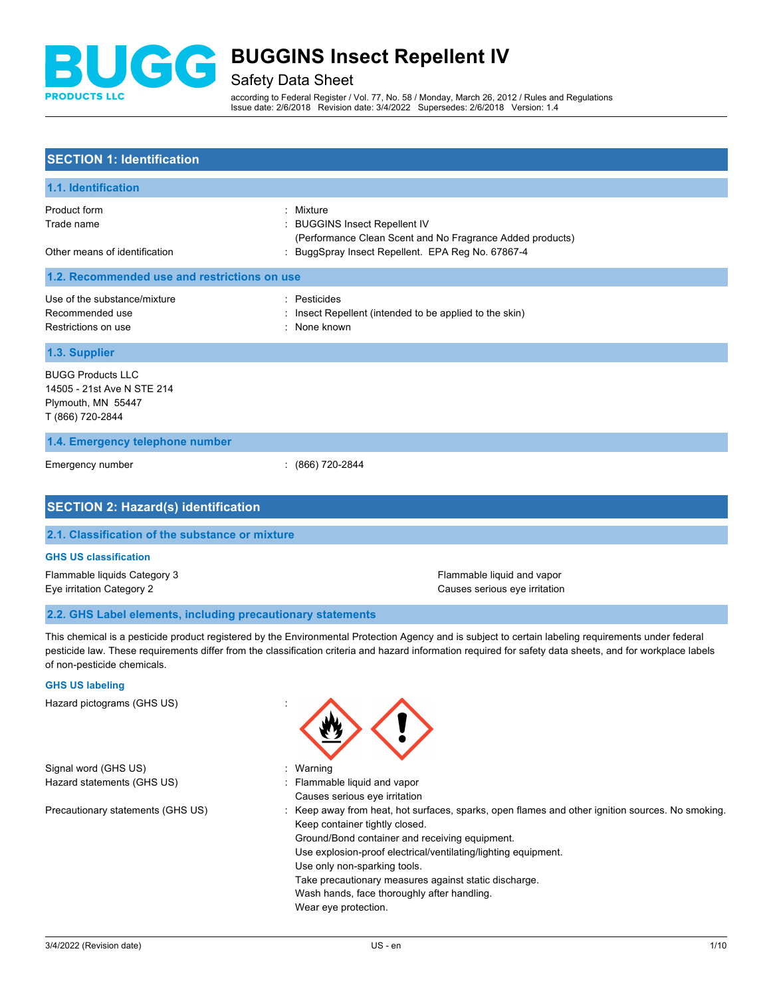

Safety Data Sheet

according to Federal Register / Vol. 77, No. 58 / Monday, March 26, 2012 / Rules and Regulations Issue date: 2/6/2018 Revision date: 3/4/2022 Supersedes: 2/6/2018 Version: 1.4

# **SECTION 1: Identification**

| 1.1. Identification                                                                              |                                                                                                                                                               |  |
|--------------------------------------------------------------------------------------------------|---------------------------------------------------------------------------------------------------------------------------------------------------------------|--|
| Product form<br>Trade name<br>Other means of identification                                      | Mixture<br><b>BUGGINS Insect Repellent IV</b><br>(Performance Clean Scent and No Fragrance Added products)<br>BuggSpray Insect Repellent. EPA Reg No. 67867-4 |  |
| 1.2. Recommended use and restrictions on use                                                     |                                                                                                                                                               |  |
| Use of the substance/mixture<br>Recommended use<br>Restrictions on use                           | : Pesticides<br>Insect Repellent (intended to be applied to the skin)<br>: None known                                                                         |  |
| 1.3. Supplier                                                                                    |                                                                                                                                                               |  |
| <b>BUGG Products LLC</b><br>14505 - 21st Ave N STE 214<br>Plymouth, MN 55447<br>T (866) 720-2844 |                                                                                                                                                               |  |
| 1.4. Emergency telephone number                                                                  |                                                                                                                                                               |  |
| Emergency number                                                                                 | $: (866) 720 - 2844$                                                                                                                                          |  |
| <b>SECTION 2: Hazard(s) identification</b>                                                       |                                                                                                                                                               |  |
| 2.1. Classification of the substance or mixture                                                  |                                                                                                                                                               |  |

### **GHS US classification**

Flammable liquids Category 3 **Flammable liquid and vapor** 

Eye irritation Category 2 Causes serious eye irritation Category 2

#### **2.2. GHS Label elements, including precautionary statements**

This chemical is a pesticide product registered by the Environmental Protection Agency and is subject to certain labeling requirements under federal pesticide law. These requirements differ from the classification criteria and hazard information required for safety data sheets, and for workplace labels of non-pesticide chemicals.

#### **GHS US labeling**

Hazard pictograms (GHS US) :

Signal word (GHS US) in the state of the Signal word (GHS US) in the state of the Signal word (GHS US) is the Signal word of the Signal word of the Signal word of the Signal word of the Signal word of the Signal word of th Hazard statements (GHS US) : Flammable liquid and vapor



- Causes serious eye irritation
- Precautionary statements (GHS US) : Keep away from heat, hot surfaces, sparks, open flames and other ignition sources. No smoking. Keep container tightly closed.
	- Ground/Bond container and receiving equipment.
	- Use explosion-proof electrical/ventilating/lighting equipment.
	- Use only non-sparking tools.
		- Take precautionary measures against static discharge.
	- Wash hands, face thoroughly after handling.
	- Wear eye protection.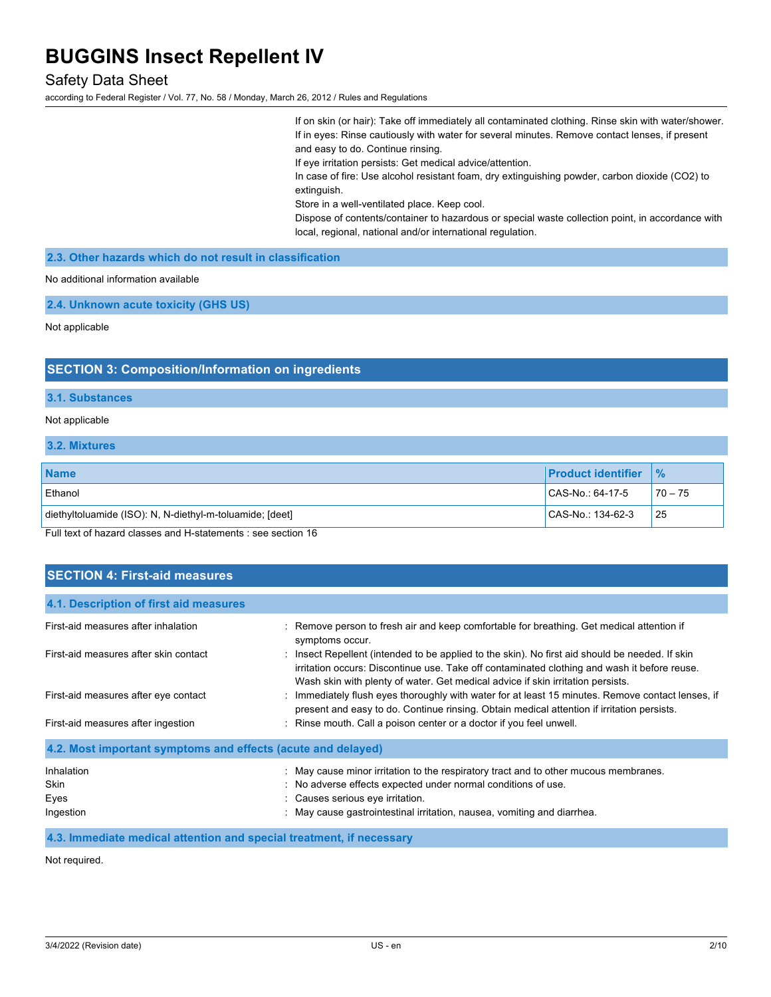# Safety Data Sheet

according to Federal Register / Vol. 77, No. 58 / Monday, March 26, 2012 / Rules and Regulations

If on skin (or hair): Take off immediately all contaminated clothing. Rinse skin with water/shower. If in eyes: Rinse cautiously with water for several minutes. Remove contact lenses, if present and easy to do. Continue rinsing.

If eye irritation persists: Get medical advice/attention.

In case of fire: Use alcohol resistant foam, dry extinguishing powder, carbon dioxide (CO2) to extinguish.

Store in a well-ventilated place. Keep cool.

Dispose of contents/container to hazardous or special waste collection point, in accordance with local, regional, national and/or international regulation.

**2.3. Other hazards which do not result in classification**

No additional information available

**2.4. Unknown acute toxicity (GHS US)**

Not applicable

### **SECTION 3: Composition/Information on ingredients**

#### **3.1. Substances**

#### Not applicable

#### **3.2. Mixtures**

| <b>Name</b>                                              | <b>IProduct identifier</b> | $\frac{9}{6}$ |
|----------------------------------------------------------|----------------------------|---------------|
| Ethanol                                                  | $ CAS-No.:64-17-5 $        | $70 - 75$     |
| diethyltoluamide (ISO): N, N-diethyl-m-toluamide; [deet] | CAS-No.: 134-62-3          | 25            |

Full text of hazard classes and H-statements : see section 16

# **SECTION 4: First-aid measures**

| 4.1. Description of first aid measures                       |                                                                                                                                                                                                                                                                                    |  |
|--------------------------------------------------------------|------------------------------------------------------------------------------------------------------------------------------------------------------------------------------------------------------------------------------------------------------------------------------------|--|
| First-aid measures after inhalation                          | : Remove person to fresh air and keep comfortable for breathing. Get medical attention if<br>symptoms occur.                                                                                                                                                                       |  |
| First-aid measures after skin contact                        | : Insect Repellent (intended to be applied to the skin). No first aid should be needed. If skin<br>irritation occurs: Discontinue use. Take off contaminated clothing and wash it before reuse.<br>Wash skin with plenty of water. Get medical advice if skin irritation persists. |  |
| First-aid measures after eye contact                         | : Immediately flush eyes thoroughly with water for at least 15 minutes. Remove contact lenses, if<br>present and easy to do. Continue rinsing. Obtain medical attention if irritation persists.                                                                                    |  |
| First-aid measures after ingestion                           | : Rinse mouth. Call a poison center or a doctor if you feel unwell.                                                                                                                                                                                                                |  |
| 4.2. Most important symptoms and effects (acute and delayed) |                                                                                                                                                                                                                                                                                    |  |
| Inhalation<br><b>Skin</b><br>Eyes<br>Ingestion               | : May cause minor irritation to the respiratory tract and to other mucous membranes.<br>: No adverse effects expected under normal conditions of use.<br>: Causes serious eye irritation.<br>: May cause gastrointestinal irritation, nausea, vomiting and diarrhea.               |  |

**4.3. Immediate medical attention and special treatment, if necessary**

Not required.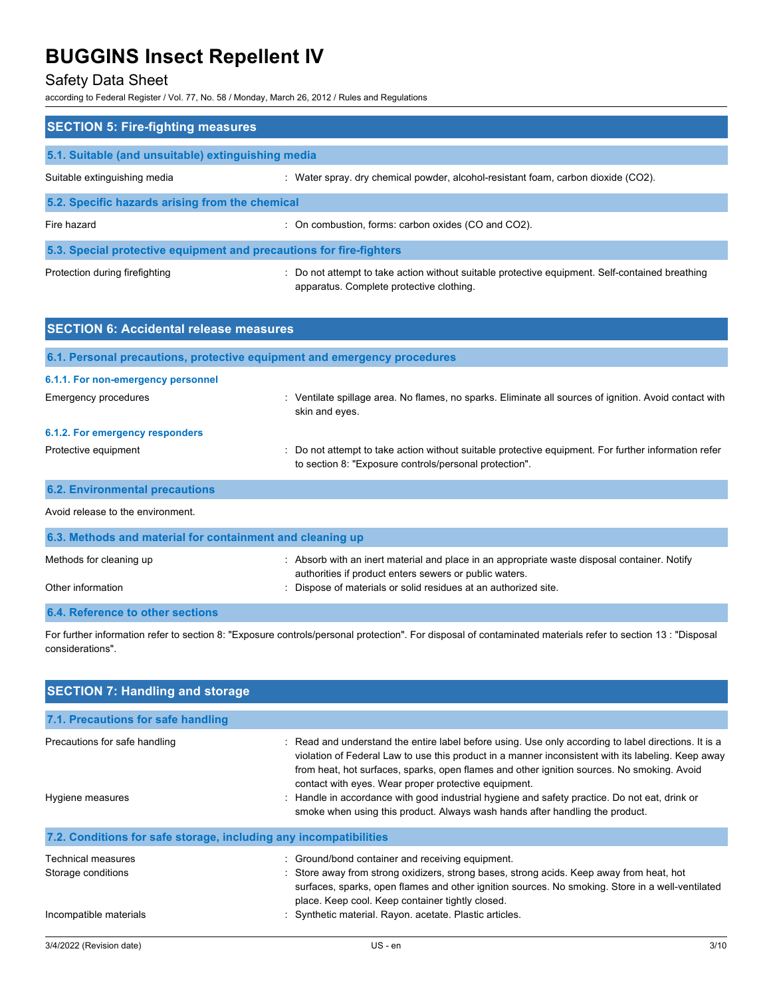# Safety Data Sheet

according to Federal Register / Vol. 77, No. 58 / Monday, March 26, 2012 / Rules and Regulations

| <b>SECTION 5: Fire-fighting measures</b>                            |                                                                                                                                             |  |
|---------------------------------------------------------------------|---------------------------------------------------------------------------------------------------------------------------------------------|--|
| 5.1. Suitable (and unsuitable) extinguishing media                  |                                                                                                                                             |  |
| Suitable extinguishing media                                        | : Water spray. dry chemical powder, alcohol-resistant foam, carbon dioxide (CO2).                                                           |  |
| 5.2. Specific hazards arising from the chemical                     |                                                                                                                                             |  |
| Fire hazard                                                         | : On combustion, forms: carbon oxides (CO and CO2).                                                                                         |  |
| 5.3. Special protective equipment and precautions for fire-fighters |                                                                                                                                             |  |
| Protection during firefighting                                      | : Do not attempt to take action without suitable protective equipment. Self-contained breathing<br>apparatus. Complete protective clothing. |  |

| <b>SECTION 6: Accidental release measures</b>                            |                                                                                                                                                                |  |
|--------------------------------------------------------------------------|----------------------------------------------------------------------------------------------------------------------------------------------------------------|--|
| 6.1. Personal precautions, protective equipment and emergency procedures |                                                                                                                                                                |  |
| 6.1.1. For non-emergency personnel                                       |                                                                                                                                                                |  |
| <b>Emergency procedures</b>                                              | : Ventilate spillage area. No flames, no sparks. Eliminate all sources of ignition. Avoid contact with<br>skin and eyes.                                       |  |
| 6.1.2. For emergency responders                                          |                                                                                                                                                                |  |
| Protective equipment                                                     | : Do not attempt to take action without suitable protective equipment. For further information refer<br>to section 8: "Exposure controls/personal protection". |  |
| <b>6.2. Environmental precautions</b>                                    |                                                                                                                                                                |  |
| Avoid release to the environment.                                        |                                                                                                                                                                |  |
| 6.3. Methods and material for containment and cleaning up                |                                                                                                                                                                |  |
| Methods for cleaning up                                                  | : Absorb with an inert material and place in an appropriate waste disposal container. Notify<br>authorities if product enters sewers or public waters.         |  |
| Other information                                                        | : Dispose of materials or solid residues at an authorized site.                                                                                                |  |

For further information refer to section 8: "Exposure controls/personal protection". For disposal of contaminated materials refer to section 13 : "Disposal considerations".

| <b>SECTION 7: Handling and storage</b>                            |                                                                                                                                                                                                                                                                                                                                                                                                                                                                                                                                                 |      |
|-------------------------------------------------------------------|-------------------------------------------------------------------------------------------------------------------------------------------------------------------------------------------------------------------------------------------------------------------------------------------------------------------------------------------------------------------------------------------------------------------------------------------------------------------------------------------------------------------------------------------------|------|
| 7.1. Precautions for safe handling                                |                                                                                                                                                                                                                                                                                                                                                                                                                                                                                                                                                 |      |
| Precautions for safe handling<br>Hygiene measures                 | : Read and understand the entire label before using. Use only according to label directions. It is a<br>violation of Federal Law to use this product in a manner inconsistent with its labeling. Keep away<br>from heat, hot surfaces, sparks, open flames and other ignition sources. No smoking. Avoid<br>contact with eyes. Wear proper protective equipment.<br>Handle in accordance with good industrial hygiene and safety practice. Do not eat, drink or<br>smoke when using this product. Always wash hands after handling the product. |      |
| 7.2. Conditions for safe storage, including any incompatibilities |                                                                                                                                                                                                                                                                                                                                                                                                                                                                                                                                                 |      |
| Technical measures<br>Storage conditions                          | : Ground/bond container and receiving equipment.<br>: Store away from strong oxidizers, strong bases, strong acids. Keep away from heat, hot<br>surfaces, sparks, open flames and other ignition sources. No smoking. Store in a well-ventilated<br>place. Keep cool. Keep container tightly closed.                                                                                                                                                                                                                                            |      |
| Incompatible materials                                            | Synthetic material. Rayon. acetate. Plastic articles.                                                                                                                                                                                                                                                                                                                                                                                                                                                                                           |      |
| 3/4/2022 (Revision date)                                          | $US - en$                                                                                                                                                                                                                                                                                                                                                                                                                                                                                                                                       | 3/10 |

**6.4. Reference to other sections**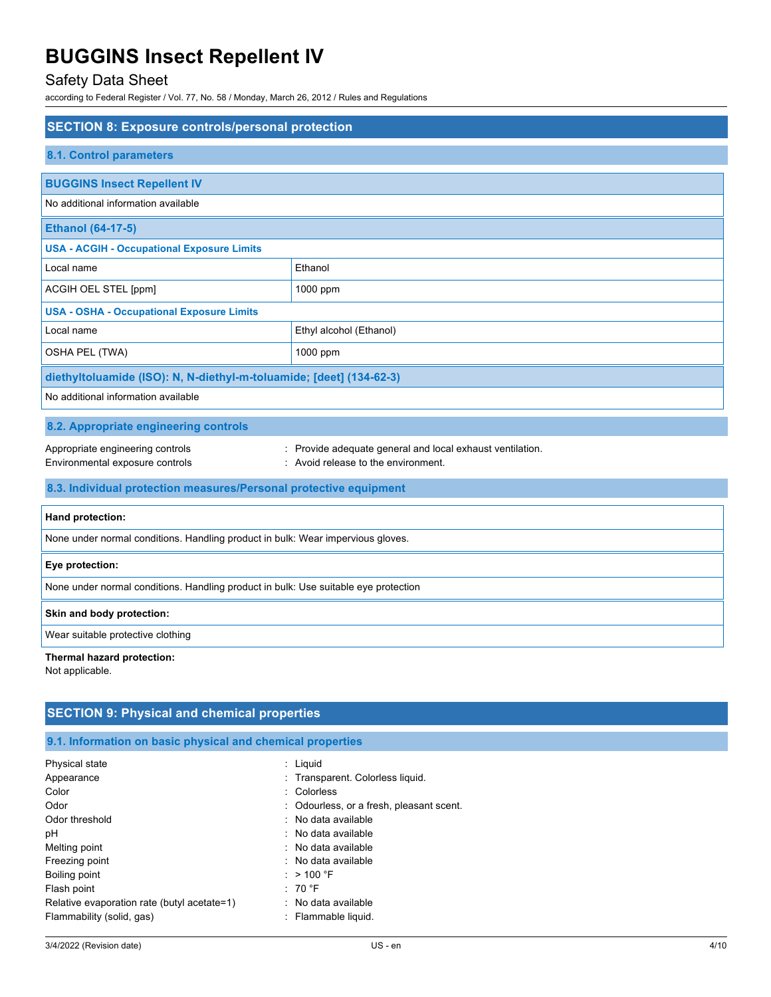# Safety Data Sheet

according to Federal Register / Vol. 77, No. 58 / Monday, March 26, 2012 / Rules and Regulations

| <b>SECTION 8: Exposure controls/personal protection</b>                             |                                                                                                  |  |
|-------------------------------------------------------------------------------------|--------------------------------------------------------------------------------------------------|--|
| 8.1. Control parameters                                                             |                                                                                                  |  |
|                                                                                     |                                                                                                  |  |
| <b>BUGGINS Insect Repellent IV</b><br>No additional information available           |                                                                                                  |  |
| <b>Ethanol (64-17-5)</b>                                                            |                                                                                                  |  |
| <b>USA - ACGIH - Occupational Exposure Limits</b>                                   |                                                                                                  |  |
| Local name                                                                          | Ethanol                                                                                          |  |
| ACGIH OEL STEL [ppm]                                                                | 1000 ppm                                                                                         |  |
| <b>USA - OSHA - Occupational Exposure Limits</b>                                    |                                                                                                  |  |
| Local name                                                                          | Ethyl alcohol (Ethanol)                                                                          |  |
| OSHA PEL (TWA)                                                                      | 1000 ppm                                                                                         |  |
| diethyltoluamide (ISO): N, N-diethyl-m-toluamide; [deet] (134-62-3)                 |                                                                                                  |  |
| No additional information available                                                 |                                                                                                  |  |
| 8.2. Appropriate engineering controls                                               |                                                                                                  |  |
| Appropriate engineering controls<br>Environmental exposure controls                 | : Provide adequate general and local exhaust ventilation.<br>: Avoid release to the environment. |  |
| 8.3. Individual protection measures/Personal protective equipment                   |                                                                                                  |  |
| Hand protection:                                                                    |                                                                                                  |  |
| None under normal conditions. Handling product in bulk: Wear impervious gloves.     |                                                                                                  |  |
| Eye protection:                                                                     |                                                                                                  |  |
| None under normal conditions. Handling product in bulk: Use suitable eye protection |                                                                                                  |  |
| Skin and body protection:                                                           |                                                                                                  |  |
| Wear suitable protective clothing                                                   |                                                                                                  |  |
| Thermal hazard protection:<br>Not applicable.                                       |                                                                                                  |  |

| <b>SECTION 9: Physical and chemical properties</b>         |                                          |  |
|------------------------------------------------------------|------------------------------------------|--|
| 9.1. Information on basic physical and chemical properties |                                          |  |
| Physical state                                             | : Liquid                                 |  |
| Appearance                                                 | : Transparent. Colorless liquid.         |  |
| Color                                                      | : Colorless                              |  |
| Odor                                                       | : Odourless, or a fresh, pleasant scent. |  |
| Odor threshold                                             | : No data available                      |  |
| рH                                                         | : No data available                      |  |
| Melting point                                              | : No data available                      |  |
| Freezing point                                             | : No data available                      |  |
| Boiling point                                              | : $>$ 100 °F                             |  |
| Flash point                                                | : 70 °F                                  |  |
| Relative evaporation rate (butyl acetate=1)                | : No data available                      |  |
| Flammability (solid, gas)                                  | : Flammable liquid.                      |  |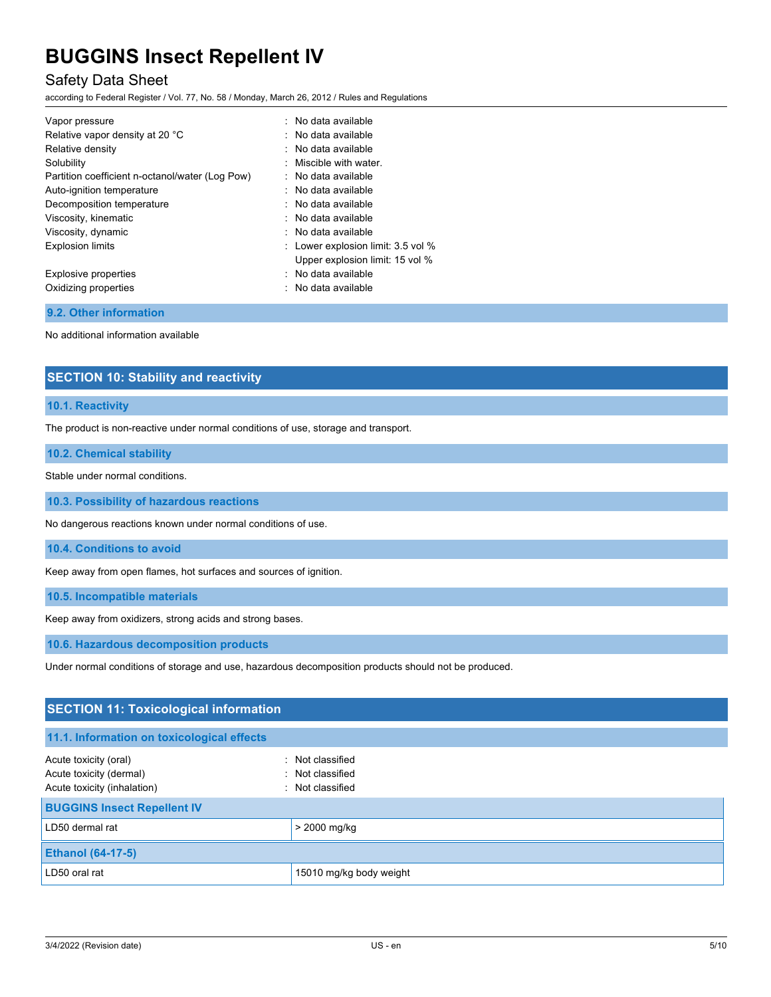# Safety Data Sheet

according to Federal Register / Vol. 77, No. 58 / Monday, March 26, 2012 / Rules and Regulations

| Vapor pressure                                  | : No data available                |
|-------------------------------------------------|------------------------------------|
| Relative vapor density at 20 °C                 | : No data available                |
| Relative density                                | : No data available                |
| Solubility                                      | $:$ Miscible with water.           |
| Partition coefficient n-octanol/water (Log Pow) | : No data available                |
| Auto-ignition temperature                       | : No data available                |
| Decomposition temperature                       | : No data available                |
| Viscosity, kinematic                            | : No data available                |
| Viscosity, dynamic                              | : No data available                |
| <b>Explosion limits</b>                         | : Lower explosion limit: 3.5 vol % |
|                                                 | Upper explosion limit: 15 vol %    |
| Explosive properties                            | : No data available                |
| Oxidizing properties                            | : No data available                |

# **9.2. Other information**

No additional information available

# **SECTION 10: Stability and reactivity**

### **10.1. Reactivity**

The product is non-reactive under normal conditions of use, storage and transport.

### **10.2. Chemical stability**

Stable under normal conditions.

**10.3. Possibility of hazardous reactions**

No dangerous reactions known under normal conditions of use.

**10.4. Conditions to avoid**

Keep away from open flames, hot surfaces and sources of ignition.

**10.5. Incompatible materials**

Keep away from oxidizers, strong acids and strong bases.

**10.6. Hazardous decomposition products**

Under normal conditions of storage and use, hazardous decomposition products should not be produced.

| <b>SECTION 11: Toxicological information</b>                                              |                                                      |  |
|-------------------------------------------------------------------------------------------|------------------------------------------------------|--|
| 11.1. Information on toxicological effects                                                |                                                      |  |
| Acute toxicity (oral)<br>$\sim$<br>Acute toxicity (dermal)<br>Acute toxicity (inhalation) | Not classified<br>: Not classified<br>Not classified |  |
| <b>BUGGINS Insect Repellent IV</b>                                                        |                                                      |  |
| LD50 dermal rat                                                                           | $> 2000$ mg/kg                                       |  |
| <b>Ethanol (64-17-5)</b>                                                                  |                                                      |  |
| LD50 oral rat                                                                             | 15010 mg/kg body weight                              |  |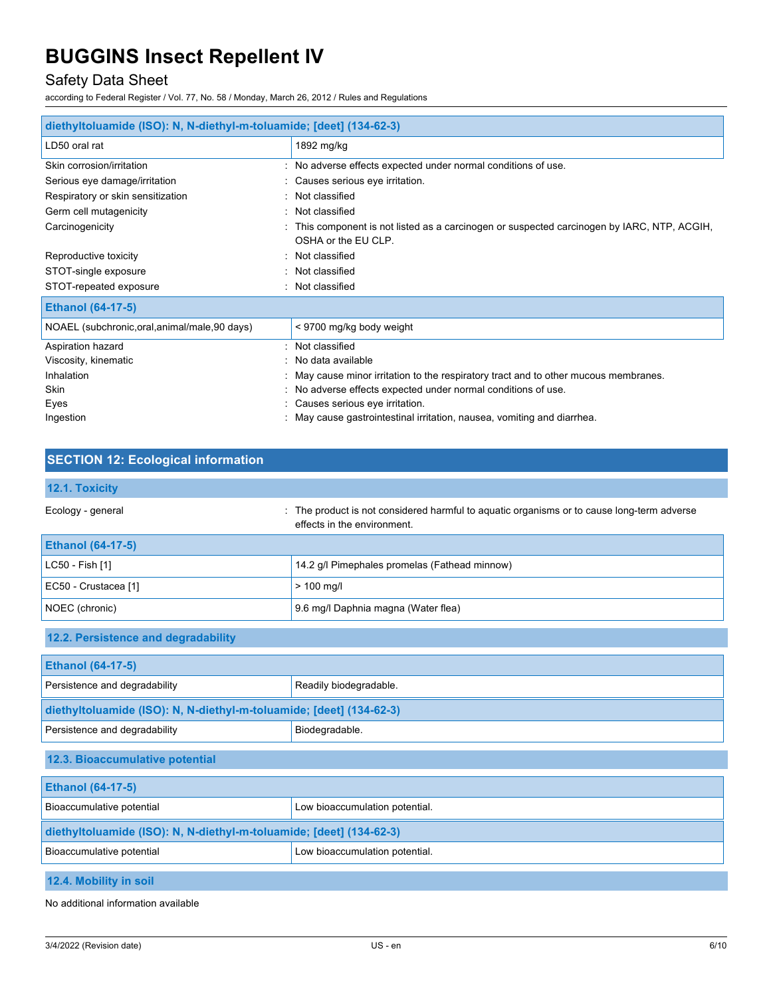# Safety Data Sheet

according to Federal Register / Vol. 77, No. 58 / Monday, March 26, 2012 / Rules and Regulations

| diethyltoluamide (ISO): N, N-diethyl-m-toluamide; [deet] (134-62-3) |                                                                                                                  |  |
|---------------------------------------------------------------------|------------------------------------------------------------------------------------------------------------------|--|
| LD50 oral rat                                                       | 1892 mg/kg                                                                                                       |  |
| Skin corrosion/irritation                                           | : No adverse effects expected under normal conditions of use.                                                    |  |
| Serious eye damage/irritation                                       | : Causes serious eye irritation.                                                                                 |  |
| Respiratory or skin sensitization                                   | : Not classified                                                                                                 |  |
| Germ cell mutagenicity                                              | : Not classified                                                                                                 |  |
| Carcinogenicity                                                     | This component is not listed as a carcinogen or suspected carcinogen by IARC, NTP, ACGIH,<br>OSHA or the EU CLP. |  |
| Reproductive toxicity                                               | : Not classified                                                                                                 |  |
| STOT-single exposure                                                | : Not classified                                                                                                 |  |
| STOT-repeated exposure                                              | Not classified                                                                                                   |  |
| <b>Ethanol (64-17-5)</b>                                            |                                                                                                                  |  |
| NOAEL (subchronic, oral, animal/male, 90 days)                      | < 9700 mg/kg body weight                                                                                         |  |
| Aspiration hazard                                                   | : Not classified                                                                                                 |  |
| Viscosity, kinematic                                                | No data available                                                                                                |  |
| Inhalation                                                          | May cause minor irritation to the respiratory tract and to other mucous membranes.                               |  |
| Skin                                                                | No adverse effects expected under normal conditions of use.                                                      |  |
| Eyes                                                                | : Causes serious eye irritation.                                                                                 |  |
| Ingestion                                                           | : May cause gastrointestinal irritation, nausea, vomiting and diarrhea.                                          |  |

# **SECTION 12: Ecological information**

| 12.1. Toxicity                                                      |                                                                                                                           |  |
|---------------------------------------------------------------------|---------------------------------------------------------------------------------------------------------------------------|--|
| Ecology - general                                                   | : The product is not considered harmful to aquatic organisms or to cause long-term adverse<br>effects in the environment. |  |
| <b>Ethanol (64-17-5)</b>                                            |                                                                                                                           |  |
| LC50 - Fish [1]                                                     | 14.2 g/l Pimephales promelas (Fathead minnow)                                                                             |  |
| EC50 - Crustacea [1]                                                | $> 100$ mg/l                                                                                                              |  |
| NOEC (chronic)                                                      | 9.6 mg/l Daphnia magna (Water flea)                                                                                       |  |
| 12.2. Persistence and degradability                                 |                                                                                                                           |  |
| <b>Ethanol (64-17-5)</b>                                            |                                                                                                                           |  |
| Persistence and degradability                                       | Readily biodegradable.                                                                                                    |  |
| diethyltoluamide (ISO): N, N-diethyl-m-toluamide; [deet] (134-62-3) |                                                                                                                           |  |
| Persistence and degradability                                       | Biodegradable.                                                                                                            |  |
| 12.3. Bioaccumulative potential                                     |                                                                                                                           |  |
| <b>Ethanol (64-17-5)</b>                                            |                                                                                                                           |  |
| Bioaccumulative potential                                           | Low bioaccumulation potential.                                                                                            |  |
| diethyltoluamide (ISO): N, N-diethyl-m-toluamide; [deet] (134-62-3) |                                                                                                                           |  |
| Bioaccumulative potential                                           | Low bioaccumulation potential.                                                                                            |  |
| 12.4. Mobility in soil                                              |                                                                                                                           |  |

No additional information available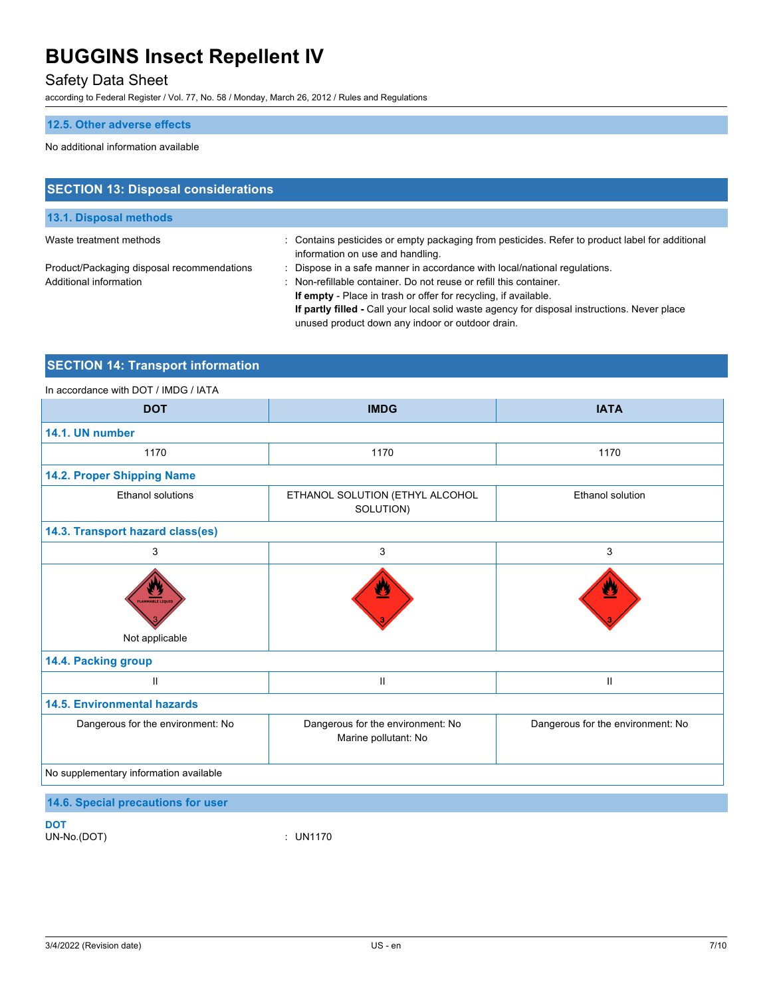# Safety Data Sheet

according to Federal Register / Vol. 77, No. 58 / Monday, March 26, 2012 / Rules and Regulations

# **12.5. Other adverse effects**

### No additional information available

| <b>SECTION 13: Disposal considerations</b>                           |                                                                                                                                                                                                                                                                                                                                                                      |  |
|----------------------------------------------------------------------|----------------------------------------------------------------------------------------------------------------------------------------------------------------------------------------------------------------------------------------------------------------------------------------------------------------------------------------------------------------------|--|
| 13.1. Disposal methods                                               |                                                                                                                                                                                                                                                                                                                                                                      |  |
| Waste treatment methods                                              | : Contains pesticides or empty packaging from pesticides. Refer to product label for additional<br>information on use and handling.                                                                                                                                                                                                                                  |  |
| Product/Packaging disposal recommendations<br>Additional information | Dispose in a safe manner in accordance with local/national regulations.<br>: Non-refillable container. Do not reuse or refill this container.<br>If empty - Place in trash or offer for recycling, if available.<br>If partly filled - Call your local solid waste agency for disposal instructions. Never place<br>unused product down any indoor or outdoor drain. |  |

# **SECTION 14: Transport information**

## In accordance with DOT / IMDG / IATA

| <b>DOT</b>                             | <b>IMDG</b>                                               | <b>IATA</b>                       |  |  |  |  |
|----------------------------------------|-----------------------------------------------------------|-----------------------------------|--|--|--|--|
| 14.1. UN number                        |                                                           |                                   |  |  |  |  |
| 1170                                   | 1170                                                      | 1170                              |  |  |  |  |
| 14.2. Proper Shipping Name             |                                                           |                                   |  |  |  |  |
| <b>Ethanol solutions</b>               | ETHANOL SOLUTION (ETHYL ALCOHOL<br>SOLUTION)              | <b>Ethanol solution</b>           |  |  |  |  |
| 14.3. Transport hazard class(es)       |                                                           |                                   |  |  |  |  |
| 3                                      | 3                                                         | 3                                 |  |  |  |  |
| W<br>LAMMABLE LIQUID<br>Not applicable |                                                           | Δ                                 |  |  |  |  |
| 14.4. Packing group                    |                                                           |                                   |  |  |  |  |
| $\mathbf{H}$                           | Ш                                                         | Ш                                 |  |  |  |  |
| <b>14.5. Environmental hazards</b>     |                                                           |                                   |  |  |  |  |
| Dangerous for the environment: No      | Dangerous for the environment: No<br>Marine pollutant: No | Dangerous for the environment: No |  |  |  |  |
| No supplementary information available |                                                           |                                   |  |  |  |  |
| 14.6. Special precautions for user     |                                                           |                                   |  |  |  |  |

**DOT**

UN-No.(DOT) : UN1170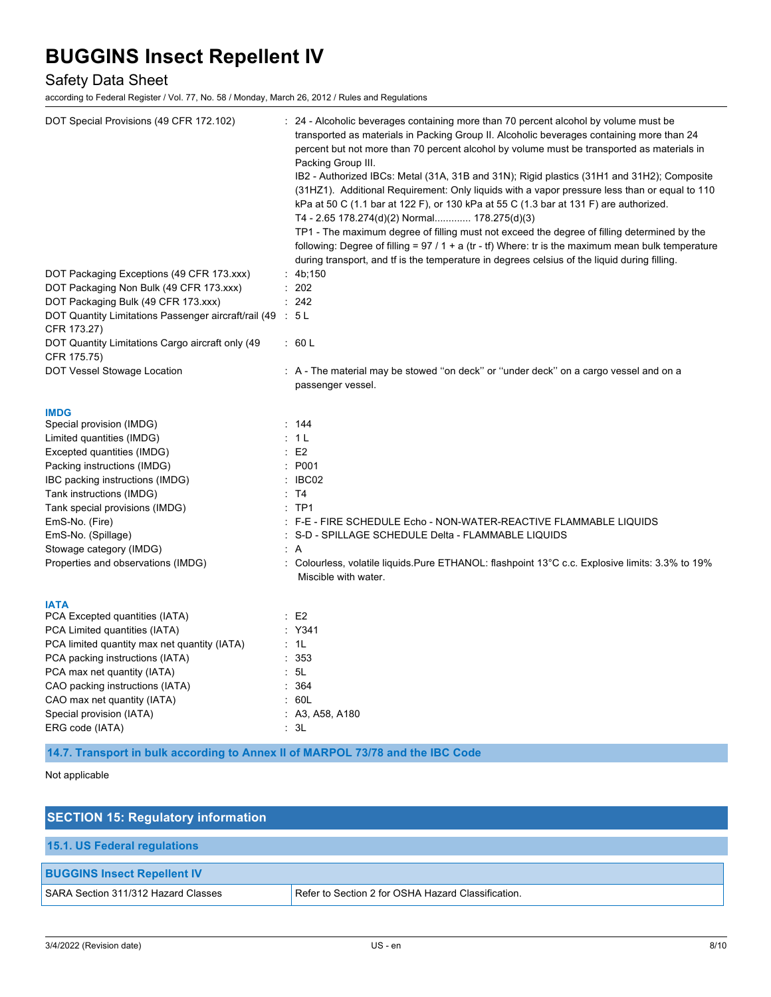# Safety Data Sheet

according to Federal Register / Vol. 77, No. 58 / Monday, March 26, 2012 / Rules and Regulations

| DOT Special Provisions (49 CFR 172.102)                    | : 24 - Alcoholic beverages containing more than 70 percent alcohol by volume must be<br>transported as materials in Packing Group II. Alcoholic beverages containing more than 24<br>percent but not more than 70 percent alcohol by volume must be transported as materials in<br>Packing Group III.<br>IB2 - Authorized IBCs: Metal (31A, 31B and 31N); Rigid plastics (31H1 and 31H2); Composite<br>(31HZ1). Additional Requirement: Only liquids with a vapor pressure less than or equal to 110<br>kPa at 50 C (1.1 bar at 122 F), or 130 kPa at 55 C (1.3 bar at 131 F) are authorized.<br>T4 - 2.65 178.274(d)(2) Normal 178.275(d)(3)<br>TP1 - The maximum degree of filling must not exceed the degree of filling determined by the<br>following: Degree of filling = $97/1 + a$ (tr - tf) Where: tr is the maximum mean bulk temperature<br>during transport, and if is the temperature in degrees celsius of the liquid during filling. |
|------------------------------------------------------------|----------------------------------------------------------------------------------------------------------------------------------------------------------------------------------------------------------------------------------------------------------------------------------------------------------------------------------------------------------------------------------------------------------------------------------------------------------------------------------------------------------------------------------------------------------------------------------------------------------------------------------------------------------------------------------------------------------------------------------------------------------------------------------------------------------------------------------------------------------------------------------------------------------------------------------------------------|
| DOT Packaging Exceptions (49 CFR 173.xxx)                  | : $4b:150$                                                                                                                                                                                                                                                                                                                                                                                                                                                                                                                                                                                                                                                                                                                                                                                                                                                                                                                                         |
| DOT Packaging Non Bulk (49 CFR 173.xxx)                    | : 202                                                                                                                                                                                                                                                                                                                                                                                                                                                                                                                                                                                                                                                                                                                                                                                                                                                                                                                                              |
| DOT Packaging Bulk (49 CFR 173.xxx)                        | : 242                                                                                                                                                                                                                                                                                                                                                                                                                                                                                                                                                                                                                                                                                                                                                                                                                                                                                                                                              |
| DOT Quantity Limitations Passenger aircraft/rail (49 : 5 L |                                                                                                                                                                                                                                                                                                                                                                                                                                                                                                                                                                                                                                                                                                                                                                                                                                                                                                                                                    |
| CFR 173.27)                                                |                                                                                                                                                                                                                                                                                                                                                                                                                                                                                                                                                                                                                                                                                                                                                                                                                                                                                                                                                    |
| DOT Quantity Limitations Cargo aircraft only (49           | : 60 L                                                                                                                                                                                                                                                                                                                                                                                                                                                                                                                                                                                                                                                                                                                                                                                                                                                                                                                                             |
| CFR 175.75)                                                |                                                                                                                                                                                                                                                                                                                                                                                                                                                                                                                                                                                                                                                                                                                                                                                                                                                                                                                                                    |
| DOT Vessel Stowage Location                                | : A - The material may be stowed "on deck" or "under deck" on a cargo vessel and on a<br>passenger vessel.                                                                                                                                                                                                                                                                                                                                                                                                                                                                                                                                                                                                                                                                                                                                                                                                                                         |
| <b>IMDG</b><br>Special provision (IMDG)                    | : 144                                                                                                                                                                                                                                                                                                                                                                                                                                                                                                                                                                                                                                                                                                                                                                                                                                                                                                                                              |
| Limited quantities (IMDG)                                  | : 1 L                                                                                                                                                                                                                                                                                                                                                                                                                                                                                                                                                                                                                                                                                                                                                                                                                                                                                                                                              |
| Excepted quantities (IMDG)                                 | $\therefore$ E2                                                                                                                                                                                                                                                                                                                                                                                                                                                                                                                                                                                                                                                                                                                                                                                                                                                                                                                                    |
| Packing instructions (IMDG)                                | : P001                                                                                                                                                                                                                                                                                                                                                                                                                                                                                                                                                                                                                                                                                                                                                                                                                                                                                                                                             |
| IBC packing instructions (IMDG)                            | $\therefore$ IBC02                                                                                                                                                                                                                                                                                                                                                                                                                                                                                                                                                                                                                                                                                                                                                                                                                                                                                                                                 |
| Tank instructions (IMDG)                                   | : T4                                                                                                                                                                                                                                                                                                                                                                                                                                                                                                                                                                                                                                                                                                                                                                                                                                                                                                                                               |
| Tank special provisions (IMDG)                             | $:$ TP1                                                                                                                                                                                                                                                                                                                                                                                                                                                                                                                                                                                                                                                                                                                                                                                                                                                                                                                                            |
| EmS-No. (Fire)                                             | : F-E - FIRE SCHEDULE Echo - NON-WATER-REACTIVE FLAMMABLE LIQUIDS                                                                                                                                                                                                                                                                                                                                                                                                                                                                                                                                                                                                                                                                                                                                                                                                                                                                                  |
| EmS-No. (Spillage)                                         | : S-D - SPILLAGE SCHEDULE Delta - FLAMMABLE LIQUIDS                                                                                                                                                                                                                                                                                                                                                                                                                                                                                                                                                                                                                                                                                                                                                                                                                                                                                                |
| Stowage category (IMDG)                                    | : A                                                                                                                                                                                                                                                                                                                                                                                                                                                                                                                                                                                                                                                                                                                                                                                                                                                                                                                                                |
| Properties and observations (IMDG)                         | : Colourless, volatile liquids.Pure ETHANOL: flashpoint 13°C c.c. Explosive limits: 3.3% to 19%<br>Miscible with water.                                                                                                                                                                                                                                                                                                                                                                                                                                                                                                                                                                                                                                                                                                                                                                                                                            |
| IATA<br>PCA Excepted quantities (IATA)                     | $\therefore$ E2                                                                                                                                                                                                                                                                                                                                                                                                                                                                                                                                                                                                                                                                                                                                                                                                                                                                                                                                    |
| PCA Limited quantities (IATA)                              | : Y341                                                                                                                                                                                                                                                                                                                                                                                                                                                                                                                                                                                                                                                                                                                                                                                                                                                                                                                                             |
| PCA limited quantity max net quantity (IATA)               | : 1L                                                                                                                                                                                                                                                                                                                                                                                                                                                                                                                                                                                                                                                                                                                                                                                                                                                                                                                                               |
| PCA packing instructions (IATA)                            | :353                                                                                                                                                                                                                                                                                                                                                                                                                                                                                                                                                                                                                                                                                                                                                                                                                                                                                                                                               |
| PCA max net quantity (IATA)                                | : 5L                                                                                                                                                                                                                                                                                                                                                                                                                                                                                                                                                                                                                                                                                                                                                                                                                                                                                                                                               |
| CAO packing instructions (IATA)                            | : 364                                                                                                                                                                                                                                                                                                                                                                                                                                                                                                                                                                                                                                                                                                                                                                                                                                                                                                                                              |
| CAO max net quantity (IATA)                                | : 60L                                                                                                                                                                                                                                                                                                                                                                                                                                                                                                                                                                                                                                                                                                                                                                                                                                                                                                                                              |
| Special provision (IATA)                                   | : A3, A58, A180                                                                                                                                                                                                                                                                                                                                                                                                                                                                                                                                                                                                                                                                                                                                                                                                                                                                                                                                    |
| ERG code (IATA)                                            | : 3L                                                                                                                                                                                                                                                                                                                                                                                                                                                                                                                                                                                                                                                                                                                                                                                                                                                                                                                                               |

**14.7. Transport in bulk according to Annex II of MARPOL 73/78 and the IBC Code**

# Not applicable

| <b>SECTION 15: Regulatory information</b> |                                                    |  |
|-------------------------------------------|----------------------------------------------------|--|
| <b>15.1. US Federal regulations</b>       |                                                    |  |
| <b>BUGGINS Insect Repellent IV</b>        |                                                    |  |
| SARA Section 311/312 Hazard Classes       | Refer to Section 2 for OSHA Hazard Classification. |  |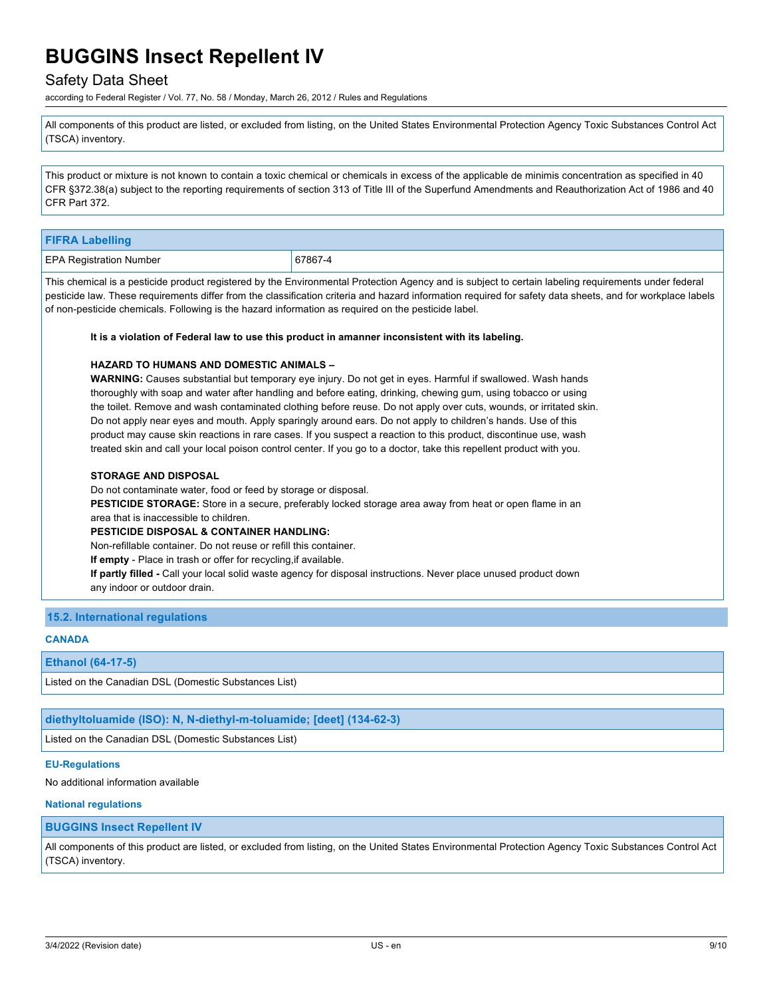# Safety Data Sheet

according to Federal Register / Vol. 77, No. 58 / Monday, March 26, 2012 / Rules and Regulations

All components of this product are listed, or excluded from listing, on the United States Environmental Protection Agency Toxic Substances Control Act (TSCA) inventory.

This product or mixture is not known to contain a toxic chemical or chemicals in excess of the applicable de minimis concentration as specified in 40 CFR §372.38(a) subject to the reporting requirements of section 313 of Title III of the Superfund Amendments and Reauthorization Act of 1986 and 40 CFR Part 372.

| <b>FIFRA Labelling</b>                                                                                                                                                                                                                                                                                                                                                |                                                                                                                                                                                                                                                                                                                                                                                                                                                                                                                                                                                                                                                                                                                       |
|-----------------------------------------------------------------------------------------------------------------------------------------------------------------------------------------------------------------------------------------------------------------------------------------------------------------------------------------------------------------------|-----------------------------------------------------------------------------------------------------------------------------------------------------------------------------------------------------------------------------------------------------------------------------------------------------------------------------------------------------------------------------------------------------------------------------------------------------------------------------------------------------------------------------------------------------------------------------------------------------------------------------------------------------------------------------------------------------------------------|
| <b>EPA Registration Number</b>                                                                                                                                                                                                                                                                                                                                        | 67867-4                                                                                                                                                                                                                                                                                                                                                                                                                                                                                                                                                                                                                                                                                                               |
| of non-pesticide chemicals. Following is the hazard information as required on the pesticide label.                                                                                                                                                                                                                                                                   | This chemical is a pesticide product registered by the Environmental Protection Agency and is subject to certain labeling requirements under federal<br>pesticide law. These requirements differ from the classification criteria and hazard information required for safety data sheets, and for workplace labels                                                                                                                                                                                                                                                                                                                                                                                                    |
|                                                                                                                                                                                                                                                                                                                                                                       | It is a violation of Federal law to use this product in amanner inconsistent with its labeling.                                                                                                                                                                                                                                                                                                                                                                                                                                                                                                                                                                                                                       |
| <b>HAZARD TO HUMANS AND DOMESTIC ANIMALS -</b>                                                                                                                                                                                                                                                                                                                        | <b>WARNING:</b> Causes substantial but temporary eye injury. Do not get in eyes. Harmful if swallowed. Wash hands<br>thoroughly with soap and water after handling and before eating, drinking, chewing gum, using tobacco or using<br>the toilet. Remove and wash contaminated clothing before reuse. Do not apply over cuts, wounds, or irritated skin.<br>Do not apply near eyes and mouth. Apply sparingly around ears. Do not apply to children's hands. Use of this<br>product may cause skin reactions in rare cases. If you suspect a reaction to this product, discontinue use, wash<br>treated skin and call your local poison control center. If you go to a doctor, take this repellent product with you. |
| <b>STORAGE AND DISPOSAL</b><br>Do not contaminate water, food or feed by storage or disposal.<br>area that is inaccessible to children.<br><b>PESTICIDE DISPOSAL &amp; CONTAINER HANDLING:</b><br>Non-refillable container. Do not reuse or refill this container.<br>If empty - Place in trash or offer for recycling, if available.<br>any indoor or outdoor drain. | <b>PESTICIDE STORAGE:</b> Store in a secure, preferably locked storage area away from heat or open flame in an<br>If partly filled - Call your local solid waste agency for disposal instructions. Never place unused product down                                                                                                                                                                                                                                                                                                                                                                                                                                                                                    |

**15.2. International regulations**

### **CANADA**

### **Ethanol (64-17-5)**

Listed on the Canadian DSL (Domestic Substances List)

**diethyltoluamide (ISO): N, N-diethyl-m-toluamide; [deet] (134-62-3)**

Listed on the Canadian DSL (Domestic Substances List)

### **EU-Regulations**

No additional information available

### **National regulations**

#### **BUGGINS Insect Repellent IV**

All components of this product are listed, or excluded from listing, on the United States Environmental Protection Agency Toxic Substances Control Act (TSCA) inventory.